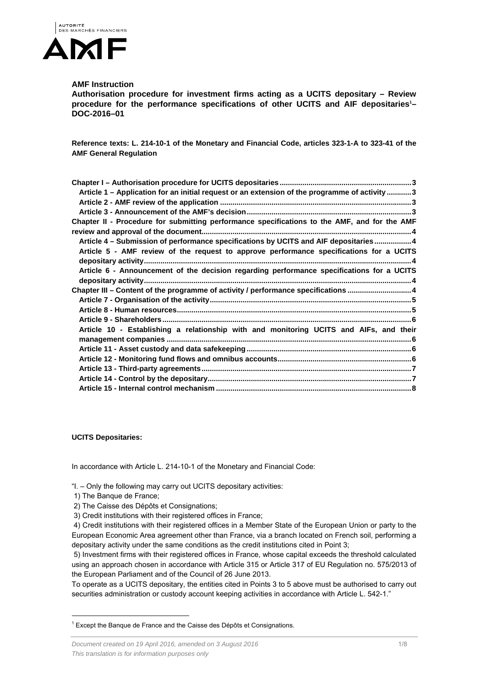

# **AMF Instruction**

**Authorisation procedure for investment firms acting as a UCITS depositary – Review**  procedure for the performance specifications of other UCITS and AIF depositaries<sup>1</sup>-**DOC-2016–01** 

**Reference texts: L. 214-10-1 of the Monetary and Financial Code, articles 323-1-A to 323-41 of the AMF General Regulation** 

| Article 1 - Application for an initial request or an extension of the programme of activity  3 |
|------------------------------------------------------------------------------------------------|
|                                                                                                |
|                                                                                                |
| Chapter II - Procedure for submitting performance specifications to the AMF, and for the AMF   |
|                                                                                                |
| Article 4 - Submission of performance specifications by UCITS and AIF depositaries4            |
| Article 5 - AMF review of the request to approve performance specifications for a UCITS        |
|                                                                                                |
| Article 6 - Announcement of the decision regarding performance specifications for a UCITS      |
|                                                                                                |
| Chapter III - Content of the programme of activity / performance specifications 4              |
|                                                                                                |
|                                                                                                |
|                                                                                                |
| Article 10 - Establishing a relationship with and monitoring UCITS and AIFs, and their         |
|                                                                                                |
|                                                                                                |
|                                                                                                |
|                                                                                                |
|                                                                                                |
|                                                                                                |

**UCITS Depositaries:** 

In accordance with Article L. 214-10-1 of the Monetary and Financial Code:

"I. – Only the following may carry out UCITS depositary activities:

1) The Banque de France;

l

2) The Caisse des Dépôts et Consignations;

3) Credit institutions with their registered offices in France;

 4) Credit institutions with their registered offices in a Member State of the European Union or party to the European Economic Area agreement other than France, via a branch located on French soil, performing a depositary activity under the same conditions as the credit institutions cited in Point 3;

 5) Investment firms with their registered offices in France, whose capital exceeds the threshold calculated using an approach chosen in accordance with Article 315 or Article 317 of EU Regulation no. 575/2013 of the European Parliament and of the Council of 26 June 2013.

To operate as a UCITS depositary, the entities cited in Points 3 to 5 above must be authorised to carry out securities administration or custody account keeping activities in accordance with Article L. 542-1."

 $1$  Except the Banque de France and the Caisse des Dépôts et Consignations.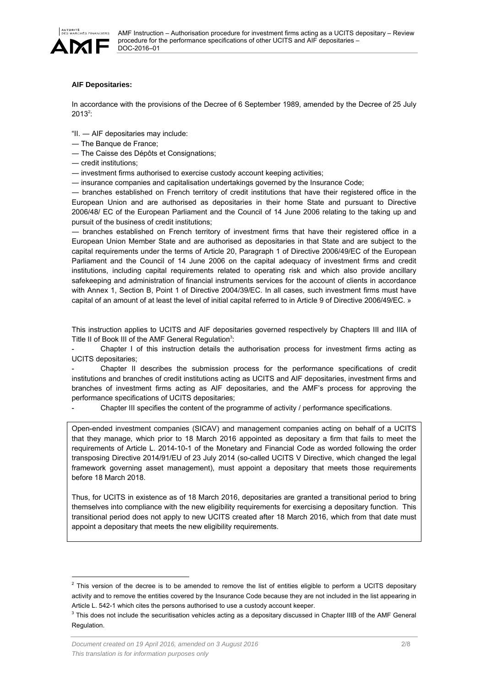

# **AIF Depositaries:**

In accordance with the provisions of the Decree of 6 September 1989, amended by the Decree of 25 July  $2013^2$ :

"II. ― AIF depositaries may include:

- ― The Banque de France;
- ― The Caisse des Dépôts et Consignations;
- ― credit institutions;

― investment firms authorised to exercise custody account keeping activities;

― insurance companies and capitalisation undertakings governed by the Insurance Code;

― branches established on French territory of credit institutions that have their registered office in the European Union and are authorised as depositaries in their home State and pursuant to Directive 2006/48/ EC of the European Parliament and the Council of 14 June 2006 relating to the taking up and pursuit of the business of credit institutions;

― branches established on French territory of investment firms that have their registered office in a European Union Member State and are authorised as depositaries in that State and are subject to the capital requirements under the terms of Article 20, Paragraph 1 of Directive 2006/49/EC of the European Parliament and the Council of 14 June 2006 on the capital adequacy of investment firms and credit institutions, including capital requirements related to operating risk and which also provide ancillary safekeeping and administration of financial instruments services for the account of clients in accordance with Annex 1, Section B, Point 1 of Directive 2004/39/EC. In all cases, such investment firms must have capital of an amount of at least the level of initial capital referred to in Article 9 of Directive 2006/49/EC. »

This instruction applies to UCITS and AIF depositaries governed respectively by Chapters III and IIIA of Title II of Book III of the AMF General Regulation<sup>3</sup>:

Chapter I of this instruction details the authorisation process for investment firms acting as UCITS depositaries;

- Chapter II describes the submission process for the performance specifications of credit institutions and branches of credit institutions acting as UCITS and AIF depositaries, investment firms and branches of investment firms acting as AIF depositaries, and the AMF's process for approving the performance specifications of UCITS depositaries;

Chapter III specifies the content of the programme of activity / performance specifications.

Open-ended investment companies (SICAV) and management companies acting on behalf of a UCITS that they manage, which prior to 18 March 2016 appointed as depositary a firm that fails to meet the requirements of Article L. 2014-10-1 of the Monetary and Financial Code as worded following the order transposing Directive 2014/91/EU of 23 July 2014 (so-called UCITS V Directive, which changed the legal framework governing asset management), must appoint a depositary that meets those requirements before 18 March 2018.

Thus, for UCITS in existence as of 18 March 2016, depositaries are granted a transitional period to bring themselves into compliance with the new eligibility requirements for exercising a depositary function. This transitional period does not apply to new UCITS created after 18 March 2016, which from that date must appoint a depositary that meets the new eligibility requirements.

l

 $<sup>2</sup>$  This version of the decree is to be amended to remove the list of entities eligible to perform a UCITS depositary</sup> activity and to remove the entities covered by the Insurance Code because they are not included in the list appearing in Article L. 542-1 which cites the persons authorised to use a custody account keeper.

 $3$  This does not include the securitisation vehicles acting as a depositary discussed in Chapter IIIB of the AMF General Regulation.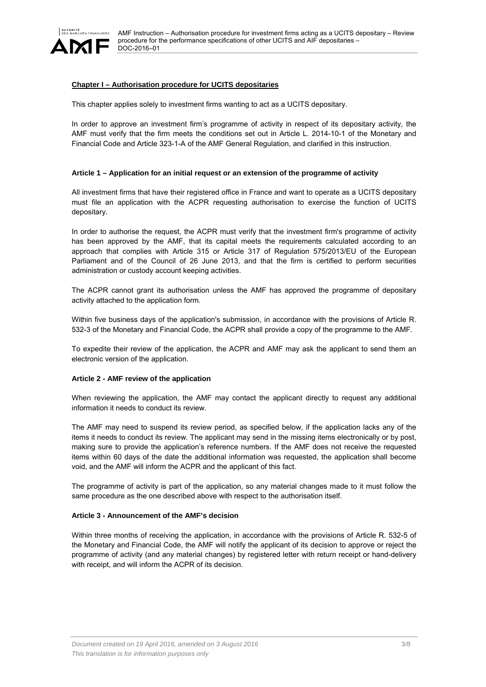

# **Chapter I – Authorisation procedure for UCITS depositaries**

This chapter applies solely to investment firms wanting to act as a UCITS depositary.

In order to approve an investment firm's programme of activity in respect of its depositary activity, the AMF must verify that the firm meets the conditions set out in Article L. 2014-10-1 of the Monetary and Financial Code and Article 323-1-A of the AMF General Regulation, and clarified in this instruction.

#### **Article 1 – Application for an initial request or an extension of the programme of activity**

All investment firms that have their registered office in France and want to operate as a UCITS depositary must file an application with the ACPR requesting authorisation to exercise the function of UCITS depositary.

In order to authorise the request, the ACPR must verify that the investment firm's programme of activity has been approved by the AMF, that its capital meets the requirements calculated according to an approach that complies with Article 315 or Article 317 of Regulation 575/2013/EU of the European Parliament and of the Council of 26 June 2013, and that the firm is certified to perform securities administration or custody account keeping activities.

The ACPR cannot grant its authorisation unless the AMF has approved the programme of depositary activity attached to the application form.

Within five business days of the application's submission, in accordance with the provisions of Article R. 532-3 of the Monetary and Financial Code, the ACPR shall provide a copy of the programme to the AMF.

To expedite their review of the application, the ACPR and AMF may ask the applicant to send them an electronic version of the application.

## **Article 2 - AMF review of the application**

When reviewing the application, the AMF may contact the applicant directly to request any additional information it needs to conduct its review.

The AMF may need to suspend its review period, as specified below, if the application lacks any of the items it needs to conduct its review. The applicant may send in the missing items electronically or by post, making sure to provide the application's reference numbers. If the AMF does not receive the requested items within 60 days of the date the additional information was requested, the application shall become void, and the AMF will inform the ACPR and the applicant of this fact.

The programme of activity is part of the application, so any material changes made to it must follow the same procedure as the one described above with respect to the authorisation itself.

#### **Article 3 - Announcement of the AMF's decision**

Within three months of receiving the application, in accordance with the provisions of Article R. 532-5 of the Monetary and Financial Code, the AMF will notify the applicant of its decision to approve or reject the programme of activity (and any material changes) by registered letter with return receipt or hand-delivery with receipt, and will inform the ACPR of its decision.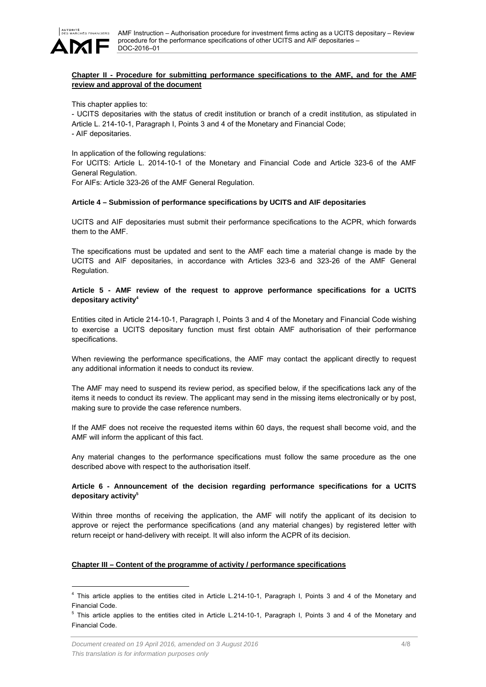

# **Chapter II - Procedure for submitting performance specifications to the AMF, and for the AMF review and approval of the document**

This chapter applies to:

- UCITS depositaries with the status of credit institution or branch of a credit institution, as stipulated in Article L. 214-10-1, Paragraph I, Points 3 and 4 of the Monetary and Financial Code; - AIF depositaries.

In application of the following regulations:

For UCITS: Article L. 2014-10-1 of the Monetary and Financial Code and Article 323-6 of the AMF General Regulation.

For AIFs: Article 323-26 of the AMF General Regulation.

#### **Article 4 – Submission of performance specifications by UCITS and AIF depositaries**

UCITS and AIF depositaries must submit their performance specifications to the ACPR, which forwards them to the AMF.

The specifications must be updated and sent to the AMF each time a material change is made by the UCITS and AIF depositaries, in accordance with Articles 323-6 and 323-26 of the AMF General Regulation.

# **Article 5 - AMF review of the request to approve performance specifications for a UCITS depositary activity4**

Entities cited in Article 214-10-1, Paragraph I, Points 3 and 4 of the Monetary and Financial Code wishing to exercise a UCITS depositary function must first obtain AMF authorisation of their performance specifications.

When reviewing the performance specifications, the AMF may contact the applicant directly to request any additional information it needs to conduct its review.

The AMF may need to suspend its review period, as specified below, if the specifications lack any of the items it needs to conduct its review. The applicant may send in the missing items electronically or by post, making sure to provide the case reference numbers.

If the AMF does not receive the requested items within 60 days, the request shall become void, and the AMF will inform the applicant of this fact.

Any material changes to the performance specifications must follow the same procedure as the one described above with respect to the authorisation itself.

# **Article 6 - Announcement of the decision regarding performance specifications for a UCITS depositary activity5**

Within three months of receiving the application, the AMF will notify the applicant of its decision to approve or reject the performance specifications (and any material changes) by registered letter with return receipt or hand-delivery with receipt. It will also inform the ACPR of its decision.

## **Chapter III – Content of the programme of activity / performance specifications**

l

<sup>&</sup>lt;sup>4</sup> This article applies to the entities cited in Article L.214-10-1, Paragraph I, Points 3 and 4 of the Monetary and Financial Code.

<sup>&</sup>lt;sup>5</sup> This article applies to the entities cited in Article L.214-10-1, Paragraph I, Points 3 and 4 of the Monetary and Financial Code.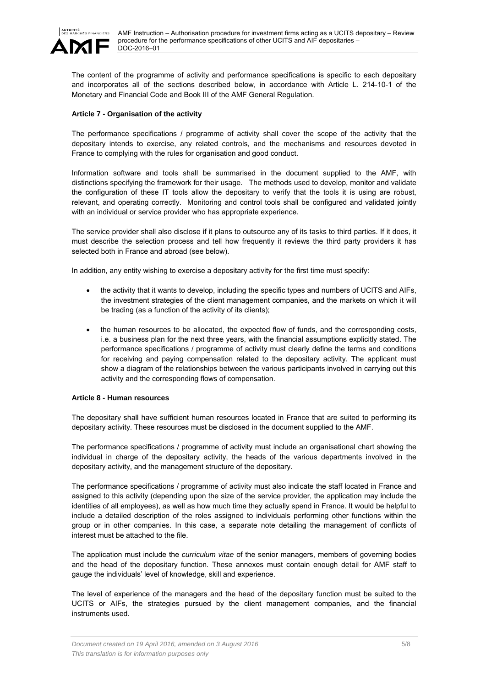

The content of the programme of activity and performance specifications is specific to each depositary and incorporates all of the sections described below, in accordance with Article L. 214-10-1 of the Monetary and Financial Code and Book III of the AMF General Regulation.

## **Article 7 - Organisation of the activity**

The performance specifications / programme of activity shall cover the scope of the activity that the depositary intends to exercise, any related controls, and the mechanisms and resources devoted in France to complying with the rules for organisation and good conduct.

Information software and tools shall be summarised in the document supplied to the AMF, with distinctions specifying the framework for their usage. The methods used to develop, monitor and validate the configuration of these IT tools allow the depositary to verify that the tools it is using are robust, relevant, and operating correctly. Monitoring and control tools shall be configured and validated jointly with an individual or service provider who has appropriate experience.

The service provider shall also disclose if it plans to outsource any of its tasks to third parties. If it does, it must describe the selection process and tell how frequently it reviews the third party providers it has selected both in France and abroad (see below).

In addition, any entity wishing to exercise a depositary activity for the first time must specify:

- the activity that it wants to develop, including the specific types and numbers of UCITS and AIFs, the investment strategies of the client management companies, and the markets on which it will be trading (as a function of the activity of its clients);
- the human resources to be allocated, the expected flow of funds, and the corresponding costs, i.e. a business plan for the next three years, with the financial assumptions explicitly stated. The performance specifications / programme of activity must clearly define the terms and conditions for receiving and paying compensation related to the depositary activity. The applicant must show a diagram of the relationships between the various participants involved in carrying out this activity and the corresponding flows of compensation.

#### **Article 8 - Human resources**

The depositary shall have sufficient human resources located in France that are suited to performing its depositary activity. These resources must be disclosed in the document supplied to the AMF.

The performance specifications / programme of activity must include an organisational chart showing the individual in charge of the depositary activity, the heads of the various departments involved in the depositary activity, and the management structure of the depositary.

The performance specifications / programme of activity must also indicate the staff located in France and assigned to this activity (depending upon the size of the service provider, the application may include the identities of all employees), as well as how much time they actually spend in France. It would be helpful to include a detailed description of the roles assigned to individuals performing other functions within the group or in other companies. In this case, a separate note detailing the management of conflicts of interest must be attached to the file.

The application must include the *curriculum vitae* of the senior managers, members of governing bodies and the head of the depositary function. These annexes must contain enough detail for AMF staff to gauge the individuals' level of knowledge, skill and experience.

The level of experience of the managers and the head of the depositary function must be suited to the UCITS or AIFs, the strategies pursued by the client management companies, and the financial instruments used.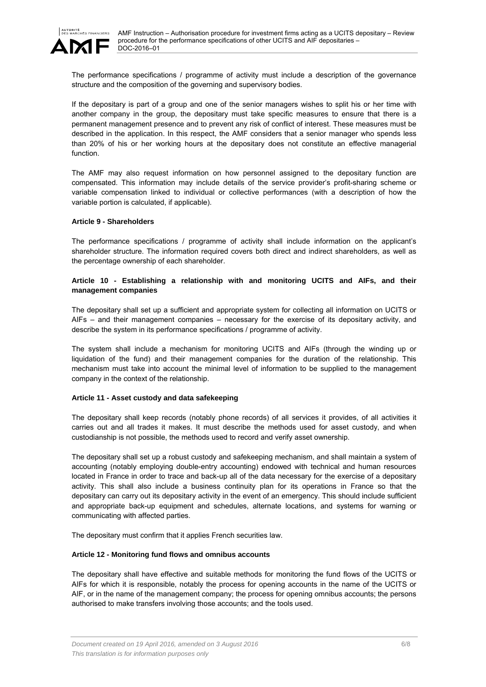

The performance specifications / programme of activity must include a description of the governance structure and the composition of the governing and supervisory bodies.

If the depositary is part of a group and one of the senior managers wishes to split his or her time with another company in the group, the depositary must take specific measures to ensure that there is a permanent management presence and to prevent any risk of conflict of interest. These measures must be described in the application. In this respect, the AMF considers that a senior manager who spends less than 20% of his or her working hours at the depositary does not constitute an effective managerial function.

The AMF may also request information on how personnel assigned to the depositary function are compensated. This information may include details of the service provider's profit-sharing scheme or variable compensation linked to individual or collective performances (with a description of how the variable portion is calculated, if applicable).

#### **Article 9 - Shareholders**

The performance specifications / programme of activity shall include information on the applicant's shareholder structure. The information required covers both direct and indirect shareholders, as well as the percentage ownership of each shareholder.

# **Article 10 - Establishing a relationship with and monitoring UCITS and AIFs, and their management companies**

The depositary shall set up a sufficient and appropriate system for collecting all information on UCITS or AIFs – and their management companies – necessary for the exercise of its depositary activity, and describe the system in its performance specifications / programme of activity.

The system shall include a mechanism for monitoring UCITS and AIFs (through the winding up or liquidation of the fund) and their management companies for the duration of the relationship. This mechanism must take into account the minimal level of information to be supplied to the management company in the context of the relationship.

## **Article 11 - Asset custody and data safekeeping**

The depositary shall keep records (notably phone records) of all services it provides, of all activities it carries out and all trades it makes. It must describe the methods used for asset custody, and when custodianship is not possible, the methods used to record and verify asset ownership.

The depositary shall set up a robust custody and safekeeping mechanism, and shall maintain a system of accounting (notably employing double-entry accounting) endowed with technical and human resources located in France in order to trace and back-up all of the data necessary for the exercise of a depositary activity. This shall also include a business continuity plan for its operations in France so that the depositary can carry out its depositary activity in the event of an emergency. This should include sufficient and appropriate back-up equipment and schedules, alternate locations, and systems for warning or communicating with affected parties.

The depositary must confirm that it applies French securities law.

## **Article 12 - Monitoring fund flows and omnibus accounts**

The depositary shall have effective and suitable methods for monitoring the fund flows of the UCITS or AIFs for which it is responsible, notably the process for opening accounts in the name of the UCITS or AIF, or in the name of the management company; the process for opening omnibus accounts; the persons authorised to make transfers involving those accounts; and the tools used.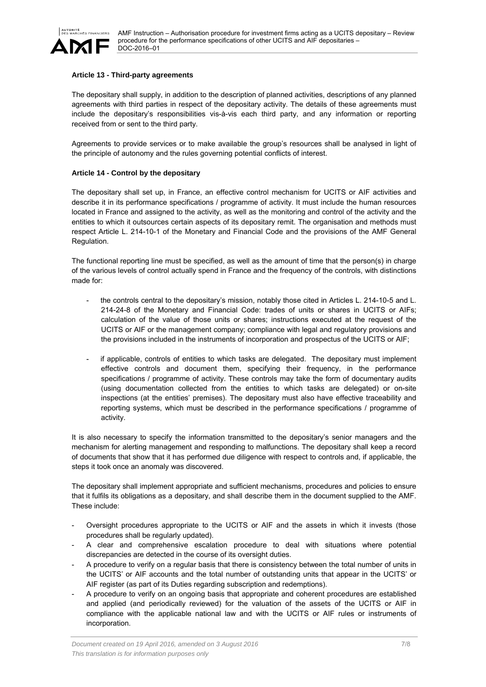

#### **Article 13 - Third-party agreements**

The depositary shall supply, in addition to the description of planned activities, descriptions of any planned agreements with third parties in respect of the depositary activity. The details of these agreements must include the depositary's responsibilities vis-à-vis each third party, and any information or reporting received from or sent to the third party.

Agreements to provide services or to make available the group's resources shall be analysed in light of the principle of autonomy and the rules governing potential conflicts of interest.

#### **Article 14 - Control by the depositary**

The depositary shall set up, in France, an effective control mechanism for UCITS or AIF activities and describe it in its performance specifications / programme of activity. It must include the human resources located in France and assigned to the activity, as well as the monitoring and control of the activity and the entities to which it outsources certain aspects of its depositary remit. The organisation and methods must respect Article L. 214-10-1 of the Monetary and Financial Code and the provisions of the AMF General Regulation.

The functional reporting line must be specified, as well as the amount of time that the person(s) in charge of the various levels of control actually spend in France and the frequency of the controls, with distinctions made for:

- the controls central to the depositary's mission, notably those cited in Articles L. 214-10-5 and L. 214-24-8 of the Monetary and Financial Code: trades of units or shares in UCITS or AIFs; calculation of the value of those units or shares; instructions executed at the request of the UCITS or AIF or the management company; compliance with legal and regulatory provisions and the provisions included in the instruments of incorporation and prospectus of the UCITS or AIF;
- if applicable, controls of entities to which tasks are delegated. The depositary must implement effective controls and document them, specifying their frequency, in the performance specifications / programme of activity. These controls may take the form of documentary audits (using documentation collected from the entities to which tasks are delegated) or on-site inspections (at the entities' premises). The depositary must also have effective traceability and reporting systems, which must be described in the performance specifications / programme of activity.

It is also necessary to specify the information transmitted to the depositary's senior managers and the mechanism for alerting management and responding to malfunctions. The depositary shall keep a record of documents that show that it has performed due diligence with respect to controls and, if applicable, the steps it took once an anomaly was discovered.

The depositary shall implement appropriate and sufficient mechanisms, procedures and policies to ensure that it fulfils its obligations as a depositary, and shall describe them in the document supplied to the AMF. These include:

- Oversight procedures appropriate to the UCITS or AIF and the assets in which it invests (those procedures shall be regularly updated).
- A clear and comprehensive escalation procedure to deal with situations where potential discrepancies are detected in the course of its oversight duties.
- A procedure to verify on a regular basis that there is consistency between the total number of units in the UCITS' or AIF accounts and the total number of outstanding units that appear in the UCITS' or AIF register (as part of its Duties regarding subscription and redemptions).
- A procedure to verify on an ongoing basis that appropriate and coherent procedures are established and applied (and periodically reviewed) for the valuation of the assets of the UCITS or AIF in compliance with the applicable national law and with the UCITS or AIF rules or instruments of incorporation.